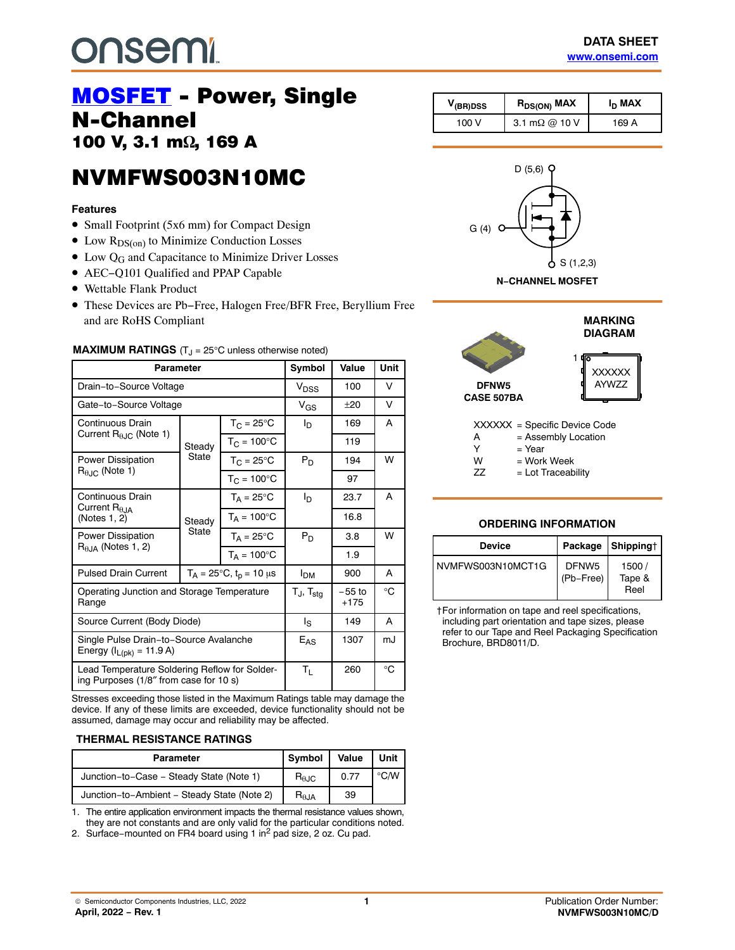# **onsem!**

# **MOSFET** - Power, Single<br>N-Channel 100 V, 3.1 m $\Omega$ , 169 April 1991<br>1

## NVMFWS003N10MC NVMFWS003N10MC<br>NVMFWS003N10MC

#### **Features**

- Small Footprint (5x6 mm) for Compact Design
- $\bullet$  Low  $R_{DS(on)}$  to Minimize Conduction Losses
- Low Q<sub>G</sub> and Capacitance to Minimize Driver Losses
- AEC−Q101 Qualified and PPAP Capable
- Wettable Flank Product
- These Devices are Pb−Free, Halogen Free/BFR Free, Beryllium Free and are RoHS Compliant

| Parameter                                                                                                |                                        |                            | Symbol               | Value              | Unit |
|----------------------------------------------------------------------------------------------------------|----------------------------------------|----------------------------|----------------------|--------------------|------|
| Drain-to-Source Voltage                                                                                  |                                        |                            | V <sub>DSS</sub>     | 100                | v    |
| Gate-to-Source Voltage                                                                                   |                                        |                            | $V_{GS}$             | $+20$              | v    |
| Continuous Drain<br>Current $R_{\theta$ J <sub>C</sub> (Note 1)                                          | Steady                                 | $T_C = 25^{\circ}C$        | I <sub>D</sub>       | 169                | A    |
|                                                                                                          |                                        | $T_{C}$ = 100 $^{\circ}$ C |                      | 119                |      |
| <b>Power Dissipation</b>                                                                                 | <b>State</b>                           | $T_{\rm C}$ = 25°C         | $P_D$                | 194                | W    |
| $R_{\theta,IC}$ (Note 1)                                                                                 |                                        | $T_{C}$ = 100 $^{\circ}$ C |                      | 97                 |      |
| Continuous Drain<br>Current $R_{\theta,IA}$<br>(Notes 1, 2)<br>Power Dissipation<br>$R0.1A$ (Notes 1, 2) | Steady<br>State                        | $T_A = 25^{\circ}C$        | l <sub>D</sub>       | 23.7               | A    |
|                                                                                                          |                                        | $T_A = 100^{\circ}C$       |                      | 16.8               |      |
|                                                                                                          |                                        | $T_A = 25^{\circ}C$        | $P_D$                | 3.8                | W    |
|                                                                                                          |                                        | $T_A = 100^{\circ}$ C      |                      | 1.9                |      |
| <b>Pulsed Drain Current</b>                                                                              | $T_A = 25^{\circ}C$ , $t_p = 10 \mu s$ |                            | I <sub>DM</sub>      | 900                | A    |
| Operating Junction and Storage Temperature<br>Range                                                      |                                        |                            | Tj, T <sub>sta</sub> | $-55$ to<br>$+175$ | °C   |
| Source Current (Body Diode)                                                                              |                                        |                            | ls                   | 149                |      |
| Single Pulse Drain-to-Source Avalanche<br>Energy ( $I_{L(pk)} = 11.9 A$ )                                |                                        |                            | $E_{AS}$             | 1307               | mJ   |
| Lead Temperature Soldering Reflow for Solder-<br>ing Purposes (1/8" from case for 10 s)                  |                                        |                            | ΤL                   | 260                | °C   |

**MAXIMUM RATINGS**  $(T_1 = 25^{\circ}C$  unless otherwise noted)

Stresses exceeding those listed in the Maximum Ratings table may damage the device. If any of these limits are exceeded, device functionality should not be assumed, damage may occur and reliability may be affected.

#### **THERMAL RESISTANCE RATINGS**

| <b>Parameter</b>                            | Symbol                 | Value | Unit           |
|---------------------------------------------|------------------------|-------|----------------|
| Junction-to-Case - Steady State (Note 1)    | $R_{\theta \text{JC}}$ | 0.77  | $^{\circ}$ C/W |
| Junction-to-Ambient - Steady State (Note 2) | $R_{\theta$ JA         | 39    |                |

1. The entire application environment impacts the thermal resistance values shown, they are not constants and are only valid for the particular conditions noted.

2. Surface−mounted on FR4 board using 1 in2 pad size, 2 oz. Cu pad.

| V <sub>(BR)DSS</sub> | $R_{DS(ON)}$ MAX      | I <sub>D</sub> MAX |
|----------------------|-----------------------|--------------------|
| 100 V                | 3.1 m $\Omega$ @ 10 V | 169 A              |





#### W = Work Week

 $ZZ = Lot Traceability$ 

#### **ORDERING INFORMATION**

| Device            |                                | Package Shippingt       |  |
|-------------------|--------------------------------|-------------------------|--|
| NVMEWS003N10MCT1G | DFNW <sub>5</sub><br>(Pb-Free) | 1500/<br>Tape &<br>Reel |  |

†For information on tape and reel specifications, including part orientation and tape sizes, please refer to our Tape and Reel Packaging Specification Brochure, BRD8011/D.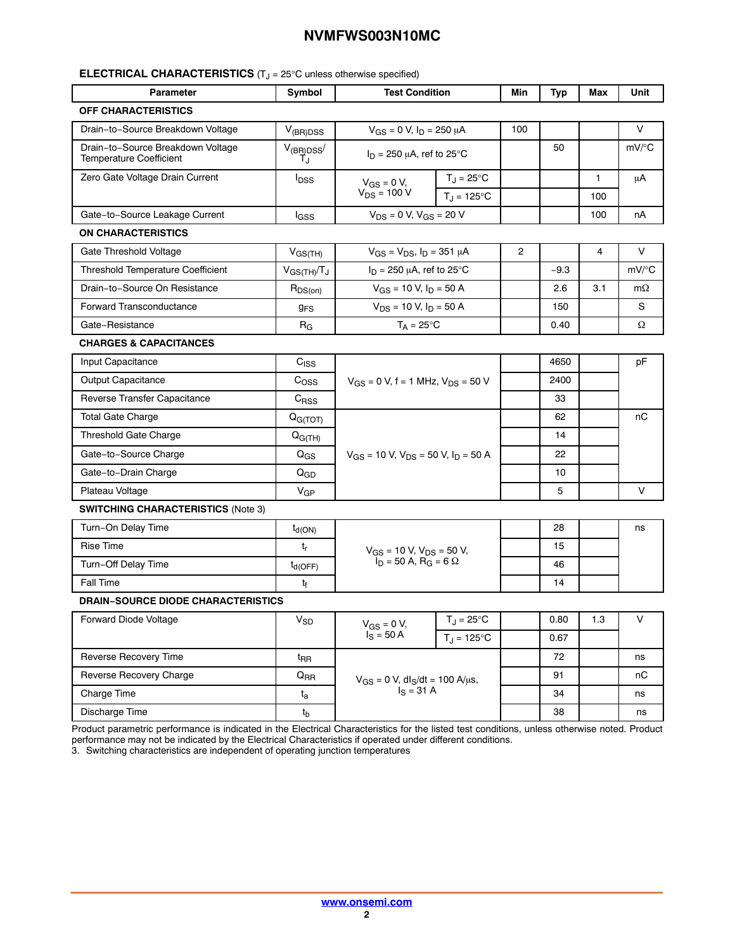#### **ELECTRICAL CHARACTERISTICS** (T<sub>J</sub> = 25°C unless otherwise specified)

| <b>Parameter</b>                                                    | Symbol                     | <b>Test Condition</b>                                                          |                     | Min            | <b>Typ</b> | Max          | Unit      |
|---------------------------------------------------------------------|----------------------------|--------------------------------------------------------------------------------|---------------------|----------------|------------|--------------|-----------|
| <b>OFF CHARACTERISTICS</b>                                          |                            |                                                                                |                     |                |            |              |           |
| Drain-to-Source Breakdown Voltage                                   | $V_{(BR)DSS}$              | $V_{GS} = 0 V, I_D = 250 \mu A$                                                |                     | 100            |            |              | V         |
| Drain-to-Source Breakdown Voltage<br><b>Temperature Coefficient</b> | $V_{(BR)DSS}$<br>T.ı       | $I_D$ = 250 $\mu$ A, ref to 25°C                                               |                     |                | 50         |              | $mV$ /°C  |
| Zero Gate Voltage Drain Current                                     | $I_{DSS}$                  | $T_J = 25$ °C<br>$V_{GS} = 0 V$ ,                                              |                     |                |            | $\mathbf{1}$ | μA        |
|                                                                     |                            | $V_{DS}$ = 100 V                                                               | $T_J = 125$ °C      |                |            | 100          |           |
| Gate-to-Source Leakage Current                                      | lgss                       | $V_{DS} = 0 V, V_{GS} = 20 V$                                                  |                     |                |            | 100          | nA        |
| ON CHARACTERISTICS                                                  |                            |                                                                                |                     |                |            |              |           |
| Gate Threshold Voltage                                              | $V_{GS(TH)}$               | $V_{GS} = V_{DS}$ , $I_D = 351 \mu A$                                          |                     | $\overline{2}$ |            | 4            | V         |
| <b>Threshold Temperature Coefficient</b>                            | $V_{GS(TH)}/T_J$           | $I_D$ = 250 $\mu$ A, ref to 25°C                                               |                     |                | $-9.3$     |              | mV/°C     |
| Drain-to-Source On Resistance                                       | $R_{DS(on)}$               | $V_{GS}$ = 10 V, $I_D$ = 50 A                                                  |                     |                | 2.6        | 3.1          | $m\Omega$ |
| <b>Forward Transconductance</b>                                     | <b>g<sub>FS</sub></b>      | $V_{DS}$ = 10 V, $I_D$ = 50 A                                                  |                     |                | 150        |              | S         |
| Gate-Resistance                                                     | $R_G$                      | $T_A = 25^{\circ}C$                                                            |                     |                | 0.40       |              | Ω         |
| <b>CHARGES &amp; CAPACITANCES</b>                                   |                            |                                                                                |                     |                |            |              |           |
| Input Capacitance                                                   | C <sub>ISS</sub>           | $V_{GS}$ = 0 V, f = 1 MHz, $V_{DS}$ = 50 V                                     |                     |                | 4650       |              | pF        |
| Output Capacitance                                                  | C <sub>OSS</sub>           |                                                                                |                     |                | 2400       |              |           |
| Reverse Transfer Capacitance                                        | C <sub>RSS</sub>           |                                                                                |                     |                | 33         |              |           |
| <b>Total Gate Charge</b>                                            | $Q_{G(TOT)}$               | $V_{GS}$ = 10 V, $V_{DS}$ = 50 V, $I_D$ = 50 A                                 |                     |                | 62         |              | пC        |
| <b>Threshold Gate Charge</b>                                        | $Q_{G(TH)}$                |                                                                                |                     |                | 14         |              |           |
| Gate-to-Source Charge                                               | $\mathsf{Q}_{\mathsf{GS}}$ |                                                                                |                     |                | 22         |              |           |
| Gate-to-Drain Charge                                                | Q <sub>GD</sub>            |                                                                                |                     |                | 10         |              |           |
| Plateau Voltage                                                     | $V_{GP}$                   |                                                                                |                     |                | 5          |              | V         |
| <b>SWITCHING CHARACTERISTICS (Note 3)</b>                           |                            |                                                                                |                     |                |            |              |           |
| Turn-On Delay Time                                                  | $t_{d(ON)}$                |                                                                                |                     |                | 28         |              | ns        |
| <b>Rise Time</b>                                                    | t,                         |                                                                                |                     |                | 15         |              |           |
| Turn-Off Delay Time                                                 | $t_{d(OFF)}$               | $V_{GS}$ = 10 V, $V_{DS}$ = 50 V,<br>$I_D$ = 50 A, R <sub>G</sub> = 6 $\Omega$ |                     |                | 46         |              |           |
| <b>Fall Time</b>                                                    | t <sub>f</sub>             |                                                                                |                     |                | 14         |              |           |
| <b>DRAIN-SOURCE DIODE CHARACTERISTICS</b>                           |                            |                                                                                |                     |                |            |              |           |
| Forward Diode Voltage                                               | $V_{SD}$                   | $V_{GS} = 0 V$ ,                                                               | $T_J = 25^{\circ}C$ |                | 0.80       | 1.3          | V         |
|                                                                     |                            | $I_S = 50 A$<br>$T_{\rm J} = 125^{\circ}$ C                                    |                     |                | 0.67       |              |           |
| Reverse Recovery Time                                               | $t_{RR}$                   | $V_{GS} = 0 V$ , dl <sub>S</sub> /dt = 100 A/µs,<br>$I_S = 31 A$               |                     |                | 72         |              | ns        |
| Reverse Recovery Charge                                             | $Q_{RR}$                   |                                                                                |                     |                | 91         |              | пC        |
| Charge Time                                                         | $t_{\rm a}$                |                                                                                |                     |                | 34         |              | ns        |
| Discharge Time                                                      | $t_{b}$                    |                                                                                |                     |                | 38         |              | ns        |

Product parametric performance is indicated in the Electrical Characteristics for the listed test conditions, unless otherwise noted. Product performance may not be indicated by the Electrical Characteristics if operated under different conditions.

3. Switching characteristics are independent of operating junction temperatures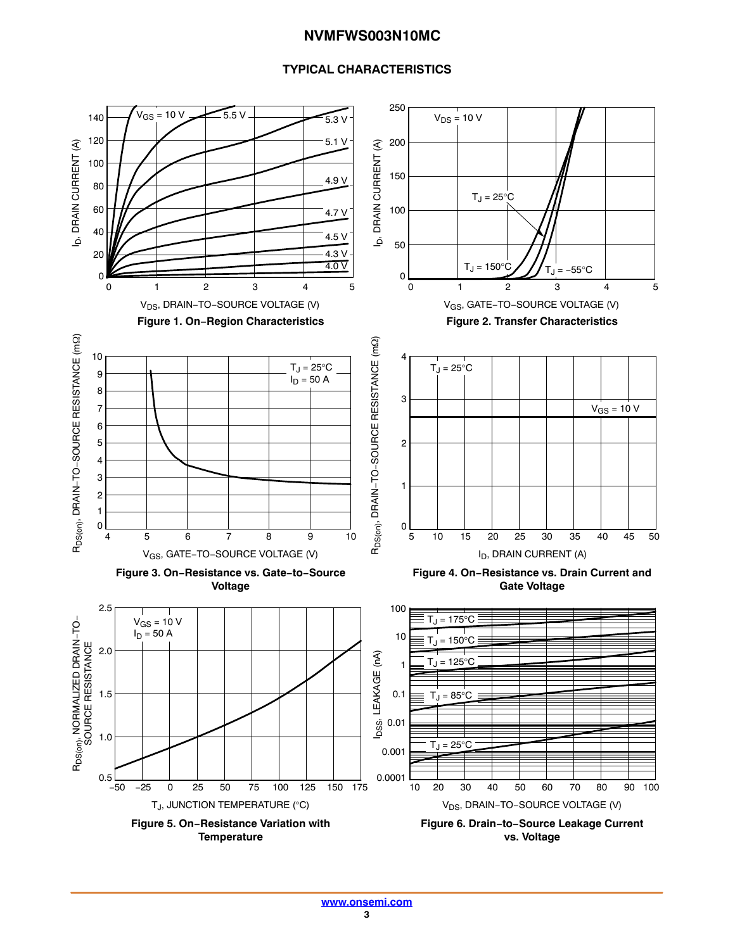#### **TYPICAL CHARACTERISTICS**

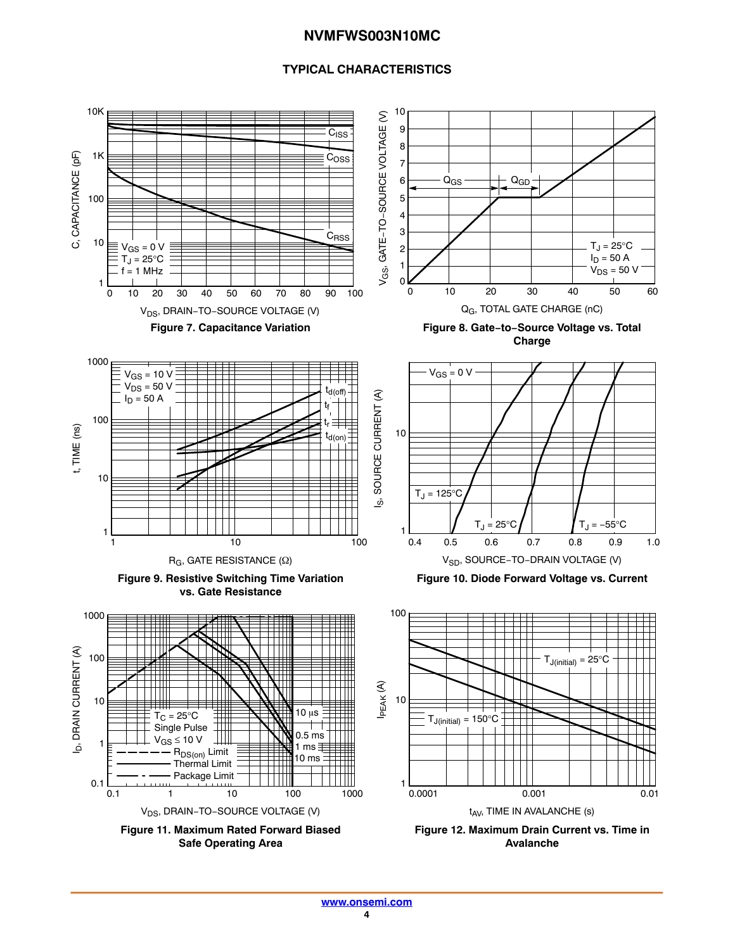#### **TYPICAL CHARACTERISTICS**

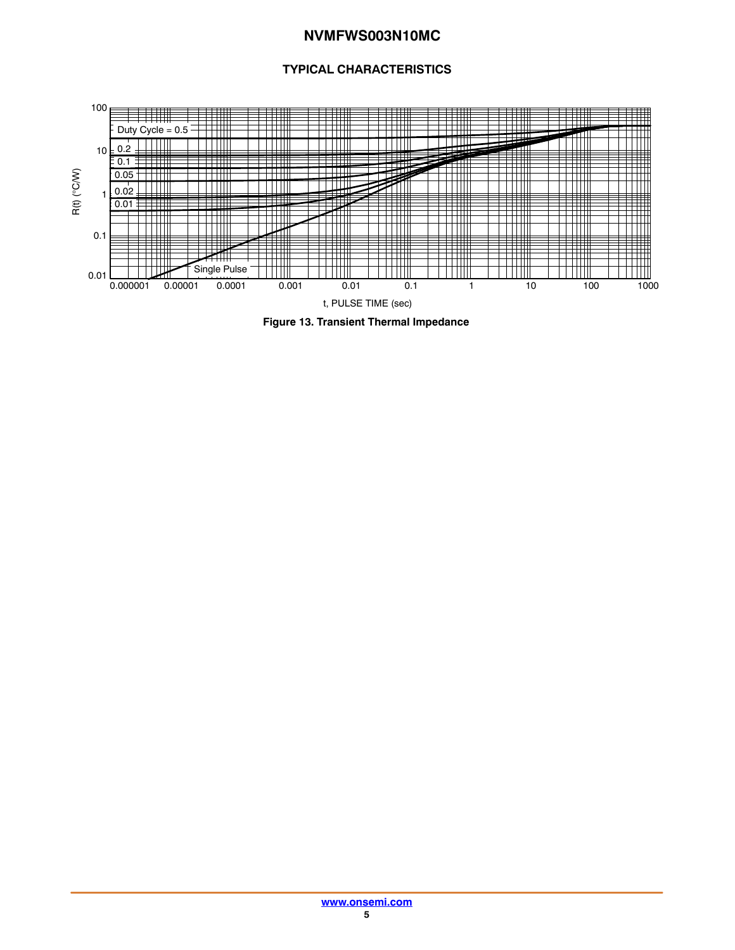#### **TYPICAL CHARACTERISTICS**



**Figure 13. Transient Thermal Impedance**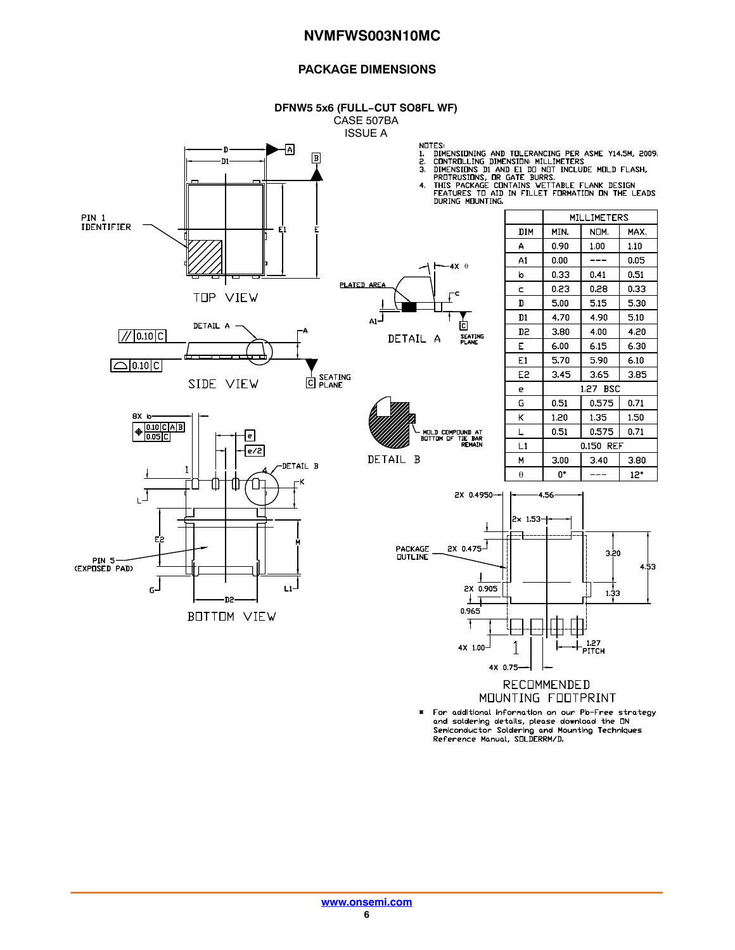#### **PACKAGE DIMENSIONS**